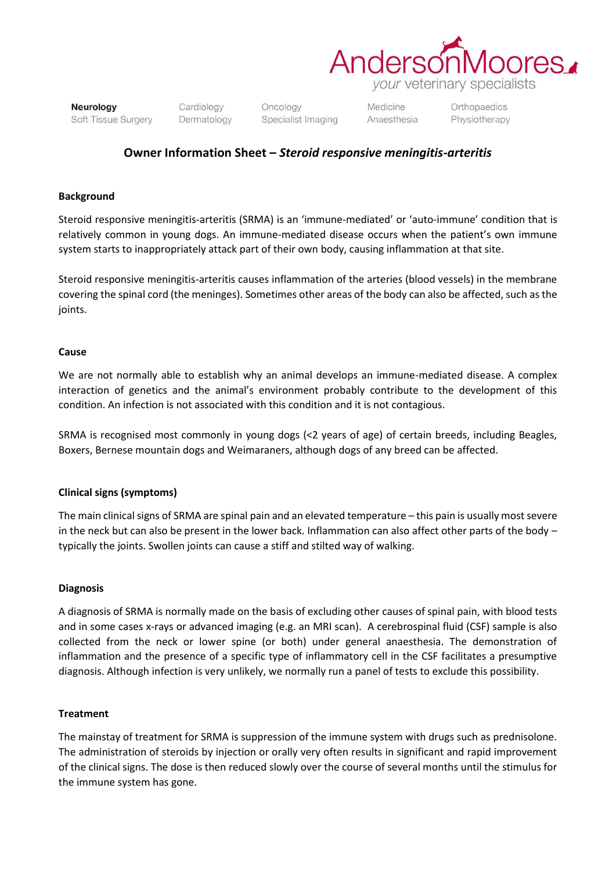

Neurology Soft Tissue Surgery Cardiology Dermatology Oncology Specialist Imaging Medicine Anaesthesia Orthopaedics Physiotherapy

## **Owner Information Sheet –** *Steroid responsive meningitis-arteritis*

#### **Background**

Steroid responsive meningitis-arteritis (SRMA) is an 'immune-mediated' or 'auto-immune' condition that is relatively common in young dogs. An immune-mediated disease occurs when the patient's own immune system starts to inappropriately attack part of their own body, causing inflammation at that site.

Steroid responsive meningitis-arteritis causes inflammation of the arteries (blood vessels) in the membrane covering the spinal cord (the meninges). Sometimes other areas of the body can also be affected, such as the joints.

#### **Cause**

We are not normally able to establish why an animal develops an immune-mediated disease. A complex interaction of genetics and the animal's environment probably contribute to the development of this condition. An infection is not associated with this condition and it is not contagious.

SRMA is recognised most commonly in young dogs (<2 years of age) of certain breeds, including Beagles, Boxers, Bernese mountain dogs and Weimaraners, although dogs of any breed can be affected.

### **Clinical signs (symptoms)**

The main clinical signs of SRMA are spinal pain and an elevated temperature – this pain is usually most severe in the neck but can also be present in the lower back. Inflammation can also affect other parts of the body – typically the joints. Swollen joints can cause a stiff and stilted way of walking.

#### **Diagnosis**

A diagnosis of SRMA is normally made on the basis of excluding other causes of spinal pain, with blood tests and in some cases x-rays or advanced imaging (e.g. an MRI scan). A cerebrospinal fluid (CSF) sample is also collected from the neck or lower spine (or both) under general anaesthesia. The demonstration of inflammation and the presence of a specific type of inflammatory cell in the CSF facilitates a presumptive diagnosis. Although infection is very unlikely, we normally run a panel of tests to exclude this possibility.

#### **Treatment**

The mainstay of treatment for SRMA is suppression of the immune system with drugs such as prednisolone. The administration of steroids by injection or orally very often results in significant and rapid improvement of the clinical signs. The dose is then reduced slowly over the course of several months until the stimulus for the immune system has gone.